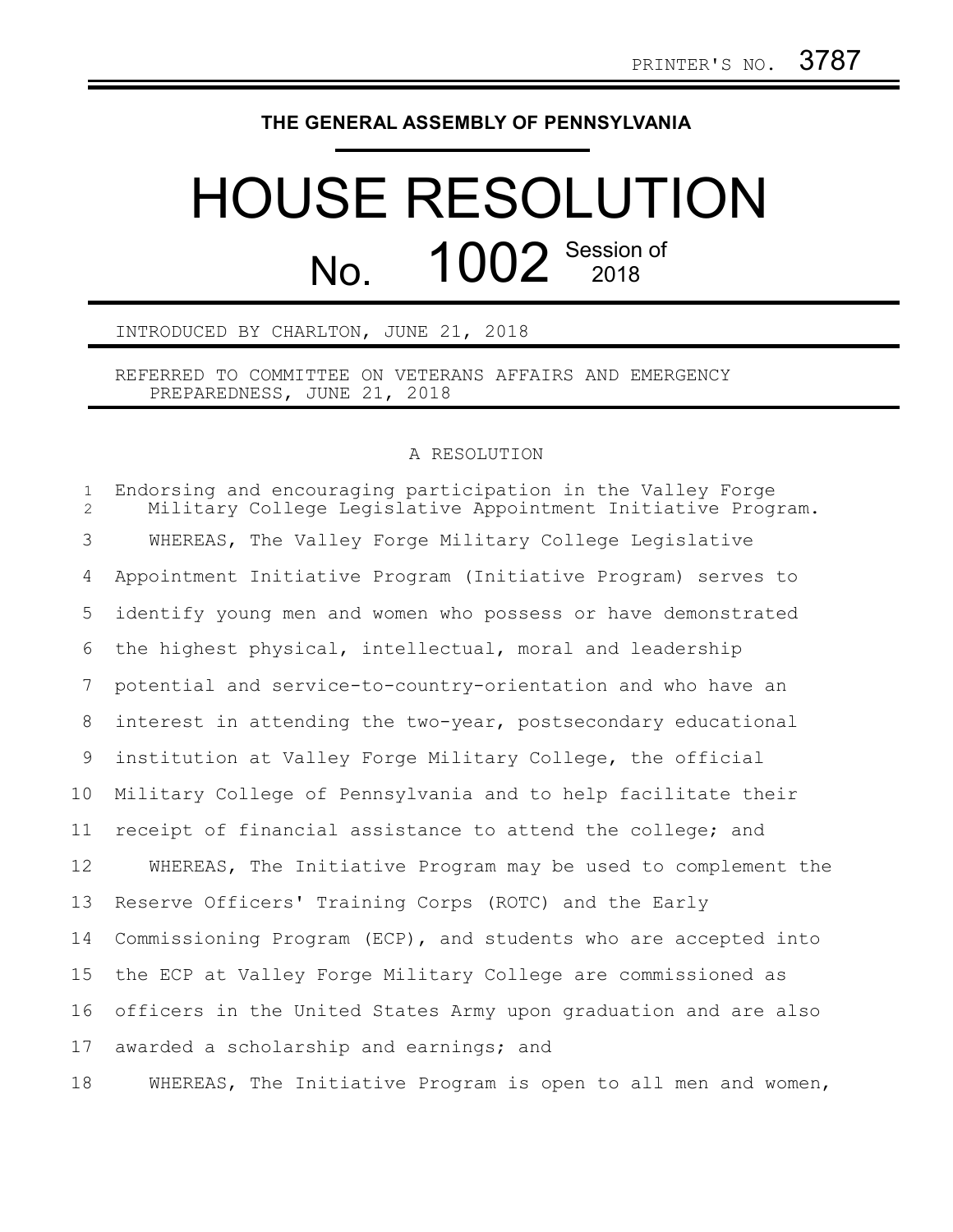## **THE GENERAL ASSEMBLY OF PENNSYLVANIA**

## HOUSE RESOLUTION No. 1002 Session of

INTRODUCED BY CHARLTON, JUNE 21, 2018

REFERRED TO COMMITTEE ON VETERANS AFFAIRS AND EMERGENCY PREPAREDNESS, JUNE 21, 2018

## A RESOLUTION

Endorsing and encouraging participation in the Valley Forge Military College Legislative Appointment Initiative Program. WHEREAS, The Valley Forge Military College Legislative Appointment Initiative Program (Initiative Program) serves to identify young men and women who possess or have demonstrated the highest physical, intellectual, moral and leadership potential and service-to-country-orientation and who have an interest in attending the two-year, postsecondary educational institution at Valley Forge Military College, the official Military College of Pennsylvania and to help facilitate their receipt of financial assistance to attend the college; and WHEREAS, The Initiative Program may be used to complement the Reserve Officers' Training Corps (ROTC) and the Early Commissioning Program (ECP), and students who are accepted into the ECP at Valley Forge Military College are commissioned as officers in the United States Army upon graduation and are also awarded a scholarship and earnings; and 1  $\mathfrak{D}$ 3 4 5 6 7 8 9 10 11 12 13 14 15 16 17

WHEREAS, The Initiative Program is open to all men and women, 18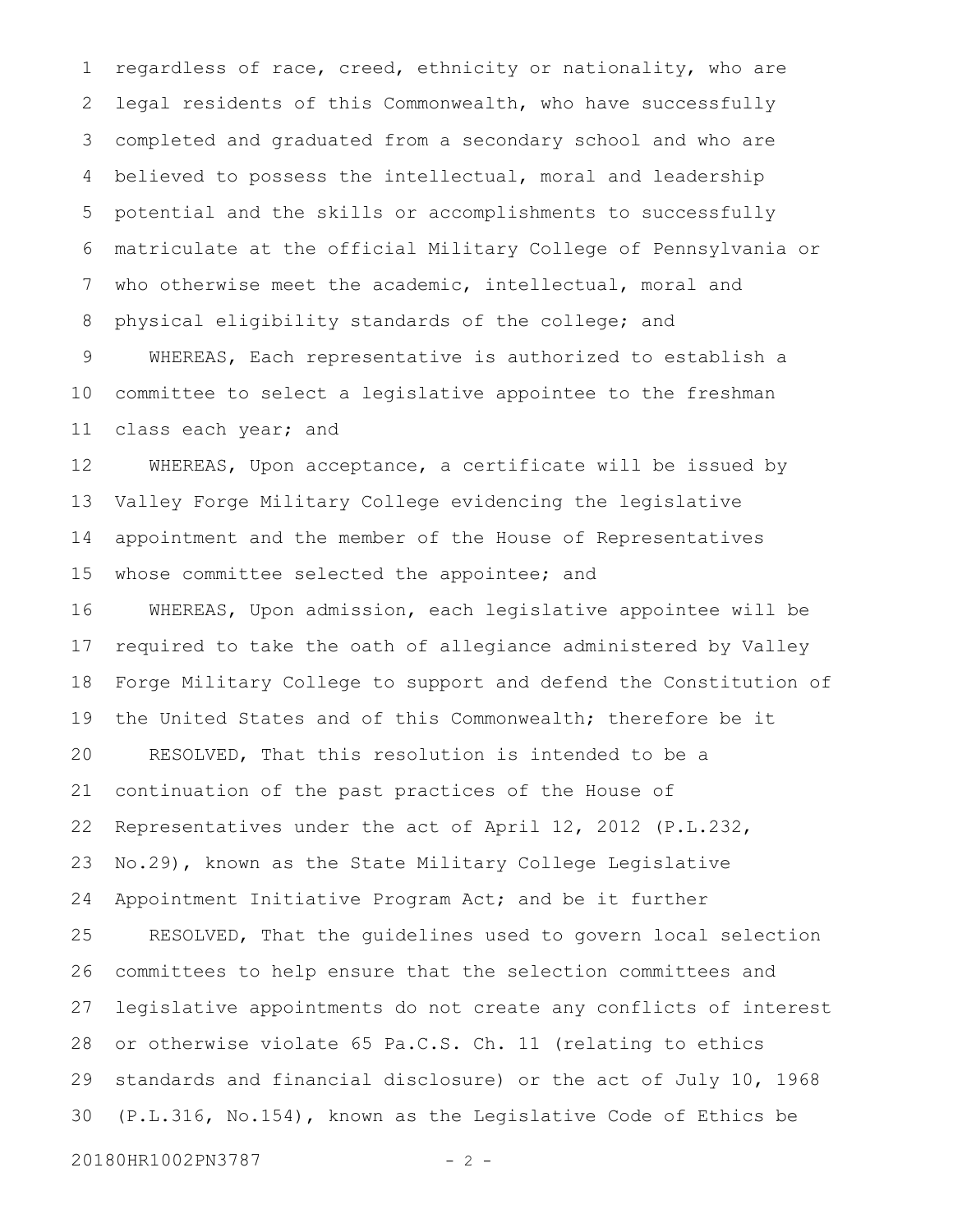regardless of race, creed, ethnicity or nationality, who are legal residents of this Commonwealth, who have successfully completed and graduated from a secondary school and who are believed to possess the intellectual, moral and leadership potential and the skills or accomplishments to successfully matriculate at the official Military College of Pennsylvania or who otherwise meet the academic, intellectual, moral and physical eligibility standards of the college; and 1 2 3 4 5 6 7 8 9

WHEREAS, Each representative is authorized to establish a committee to select a legislative appointee to the freshman class each year; and 10 11

WHEREAS, Upon acceptance, a certificate will be issued by Valley Forge Military College evidencing the legislative appointment and the member of the House of Representatives whose committee selected the appointee; and 12 13 14 15

WHEREAS, Upon admission, each legislative appointee will be required to take the oath of allegiance administered by Valley Forge Military College to support and defend the Constitution of the United States and of this Commonwealth; therefore be it RESOLVED, That this resolution is intended to be a continuation of the past practices of the House of Representatives under the act of April 12, 2012 (P.L.232, No.29), known as the State Military College Legislative Appointment Initiative Program Act; and be it further RESOLVED, That the guidelines used to govern local selection committees to help ensure that the selection committees and legislative appointments do not create any conflicts of interest or otherwise violate 65 Pa.C.S. Ch. 11 (relating to ethics standards and financial disclosure) or the act of July 10, 1968 (P.L.316, No.154), known as the Legislative Code of Ethics be 16 17 18 19 20 21 22 23 24 25 26 27 28 29 30

20180HR1002PN3787 - 2 -